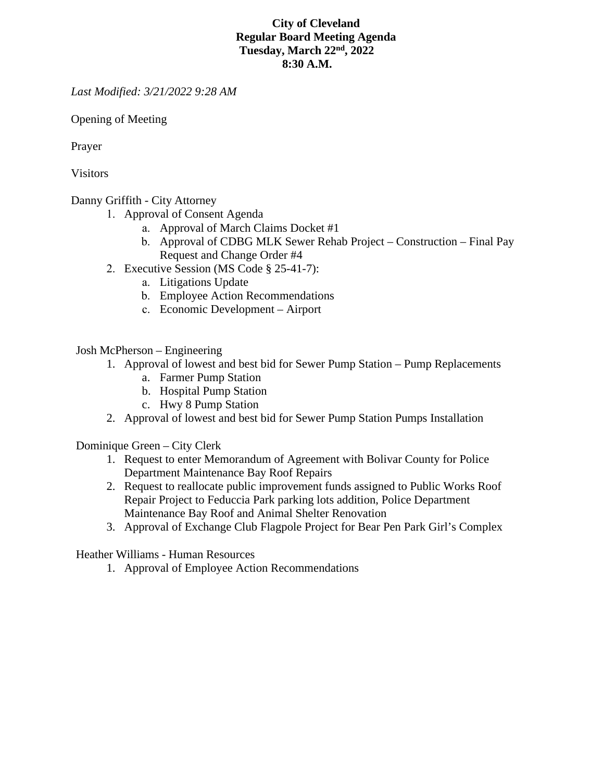## **City of Cleveland Regular Board Meeting Agenda Tuesday, March 22nd, 2022 8:30 A.M.**

*Last Modified: 3/21/2022 9:28 AM* 

Opening of Meeting

Prayer

Visitors

Danny Griffith - City Attorney

- 1. Approval of Consent Agenda
	- a. Approval of March Claims Docket #1
	- b. Approval of CDBG MLK Sewer Rehab Project Construction Final Pay Request and Change Order #4
- 2. Executive Session (MS Code § 25-41-7):
	- a. Litigations Update
	- b. Employee Action Recommendations
	- c. Economic Development Airport

Josh McPherson – Engineering

- 1. Approval of lowest and best bid for Sewer Pump Station Pump Replacements
	- a. Farmer Pump Station
	- b. Hospital Pump Station
	- c. Hwy 8 Pump Station
- 2. Approval of lowest and best bid for Sewer Pump Station Pumps Installation

Dominique Green – City Clerk

- 1. Request to enter Memorandum of Agreement with Bolivar County for Police Department Maintenance Bay Roof Repairs
- 2. Request to reallocate public improvement funds assigned to Public Works Roof Repair Project to Feduccia Park parking lots addition, Police Department Maintenance Bay Roof and Animal Shelter Renovation
- 3. Approval of Exchange Club Flagpole Project for Bear Pen Park Girl's Complex

Heather Williams - Human Resources

1. Approval of Employee Action Recommendations